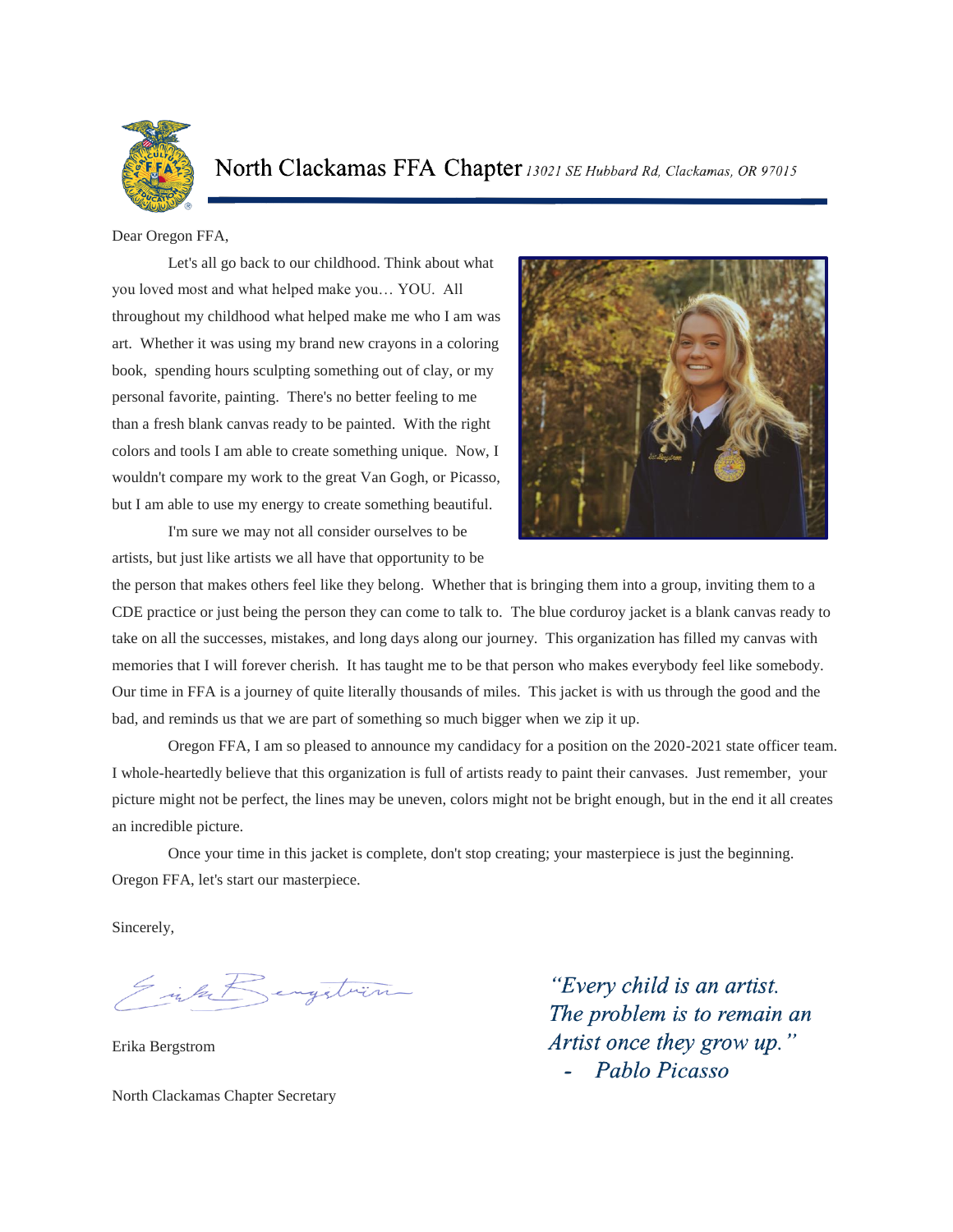

North Clackamas FFA Chapter 13021 SE Hubbard Rd, Clackamas, OR 97015

Dear Oregon FFA,

Let's all go back to our childhood. Think about what you loved most and what helped make you… YOU. All throughout my childhood what helped make me who I am was art. Whether it was using my brand new crayons in a coloring book, spending hours sculpting something out of clay, or my personal favorite, painting. There's no better feeling to me than a fresh blank canvas ready to be painted. With the right colors and tools I am able to create something unique. Now, I wouldn't compare my work to the great Van Gogh, or Picasso, but I am able to use my energy to create something beautiful.

I'm sure we may not all consider ourselves to be artists, but just like artists we all have that opportunity to be



the person that makes others feel like they belong. Whether that is bringing them into a group, inviting them to a CDE practice or just being the person they can come to talk to. The blue corduroy jacket is a blank canvas ready to take on all the successes, mistakes, and long days along our journey. This organization has filled my canvas with memories that I will forever cherish. It has taught me to be that person who makes everybody feel like somebody. Our time in FFA is a journey of quite literally thousands of miles. This jacket is with us through the good and the bad, and reminds us that we are part of something so much bigger when we zip it up.

Oregon FFA, I am so pleased to announce my candidacy for a position on the 2020-2021 state officer team. I whole-heartedly believe that this organization is full of artists ready to paint their canvases. Just remember, your picture might not be perfect, the lines may be uneven, colors might not be bright enough, but in the end it all creates an incredible picture.

Once your time in this jacket is complete, don't stop creating; your masterpiece is just the beginning. Oregon FFA, let's start our masterpiece.

Sincerely,

Sink Rengition

Erika Bergstrom

North Clackamas Chapter Secretary

"Every child is an artist. The problem is to remain an Artist once they grow up." Pablo Picasso